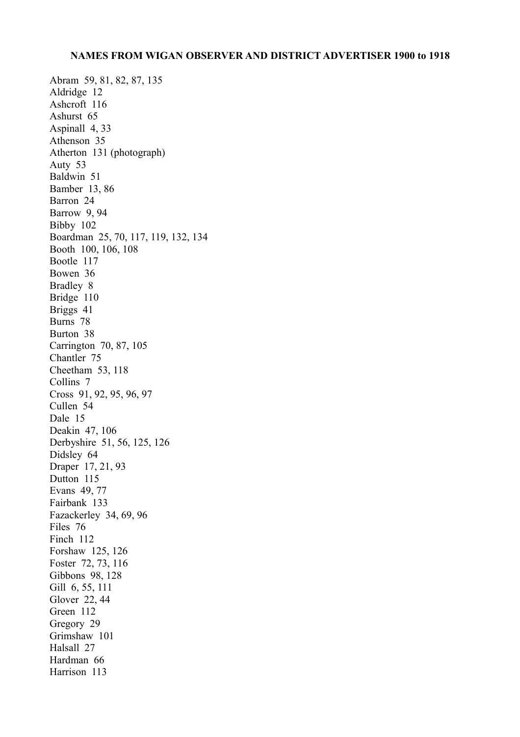Abram 59, 81, 82, 87, 135 Aldridge 12 Ashcroft 116 Ashurst 65 Aspinall 4, 33 Athenson 35 Atherton 131 (photograph) Auty 53 Baldwin 51 Bamber 13, 86 Barron 24 Barrow 9, 94 Bibby 102 Boardman 25, 70, 117, 119, 132, 134 Booth 100, 106, 108 Bootle 117 Bowen 36 Bradley 8 Bridge 110 Briggs 41 Burns 78 Burton 38 Carrington 70, 87, 105 Chantler 75 Cheetham 53, 118 Collins 7 Cross 91, 92, 95, 96, 97 Cullen 54 Dale 15 Deakin 47, 106 Derbyshire 51, 56, 125, 126 Didsley 64 Draper 17, 21, 93 Dutton 115 Evans 49, 77 Fairbank 133 Fazackerley 34, 69, 96 Files 76 Finch 112 Forshaw 125, 126 Foster 72, 73, 116 Gibbons 98, 128 Gill 6, 55, 111 Glover 22, 44 Green 112 Gregory 29 Grimshaw 101 Halsall 27 Hardman 66 Harrison 113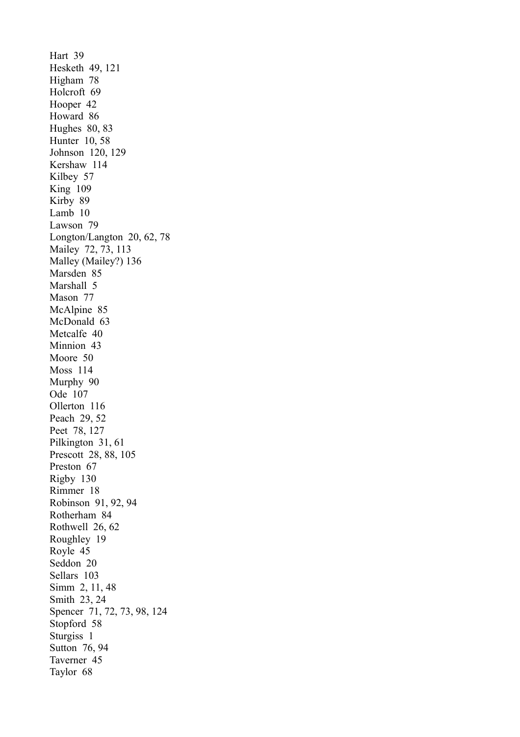Hart 39 Hesketh 49, 121 Higham 78 Holcroft 69 Hooper 42 Howard 86 Hughes 80, 83 Hunter 10, 58 Johnson 120, 129 Kershaw 114 Kilbey 57 King 109 Kirby 89 Lamb 10 Lawson 79 Longton/Langton 20, 62, 78 Mailey 72, 73, 113 Malley (Mailey?) 136 Marsden 85 Marshall 5 Mason 77 McAlpine 85 McDonald 63 Metcalfe 40 Minnion 43 Moore 50 Moss 114 Murphy 90 Ode 107 Ollerton 116 Peach 29, 52 Peet 78, 127 Pilkington 31, 61 Prescott 28, 88, 105 Preston 67 Rigby 130 Rimmer 18 Robinson 91, 92, 94 Rotherham 84 Rothwell 26, 62 Roughley 19 Royle 45 Seddon 20 Sellars 103 Simm 2, 11, 48 Smith 23, 24 Spencer 71, 72, 73, 98, 124 Stopford 58 Sturgiss 1 Sutton 76, 94 Taverner 45 Taylor 68